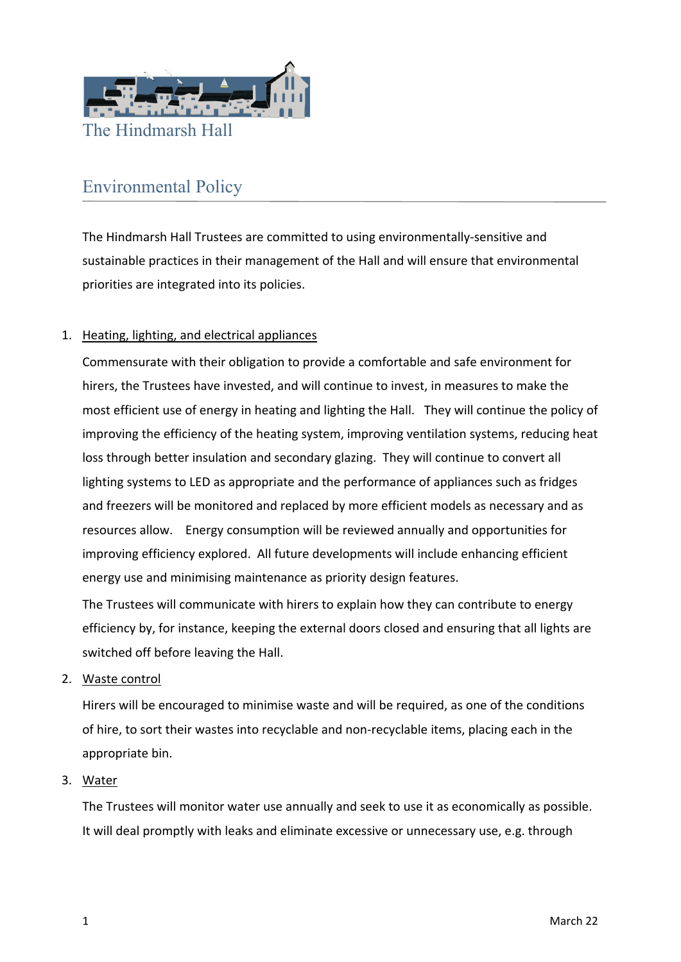

## Environmental Policy

The Hindmarsh Hall Trustees are committed to using environmentally‐sensitive and sustainable practices in their management of the Hall and will ensure that environmental priorities are integrated into its policies.

## 1. Heating, lighting, and electrical appliances

Commensurate with their obligation to provide a comfortable and safe environment for hirers, the Trustees have invested, and will continue to invest, in measures to make the most efficient use of energy in heating and lighting the Hall. They will continue the policy of improving the efficiency of the heating system, improving ventilation systems, reducing heat loss through better insulation and secondary glazing. They will continue to convert all lighting systems to LED as appropriate and the performance of appliances such as fridges and freezers will be monitored and replaced by more efficient models as necessary and as resources allow. Energy consumption will be reviewed annually and opportunities for improving efficiency explored. All future developments will include enhancing efficient energy use and minimising maintenance as priority design features.

The Trustees will communicate with hirers to explain how they can contribute to energy efficiency by, for instance, keeping the external doors closed and ensuring that all lights are switched off before leaving the Hall.

2. Waste control

Hirers will be encouraged to minimise waste and will be required, as one of the conditions of hire, to sort their wastes into recyclable and non‐recyclable items, placing each in the appropriate bin.

## 3. Water

The Trustees will monitor water use annually and seek to use it as economically as possible. It will deal promptly with leaks and eliminate excessive or unnecessary use, e.g. through